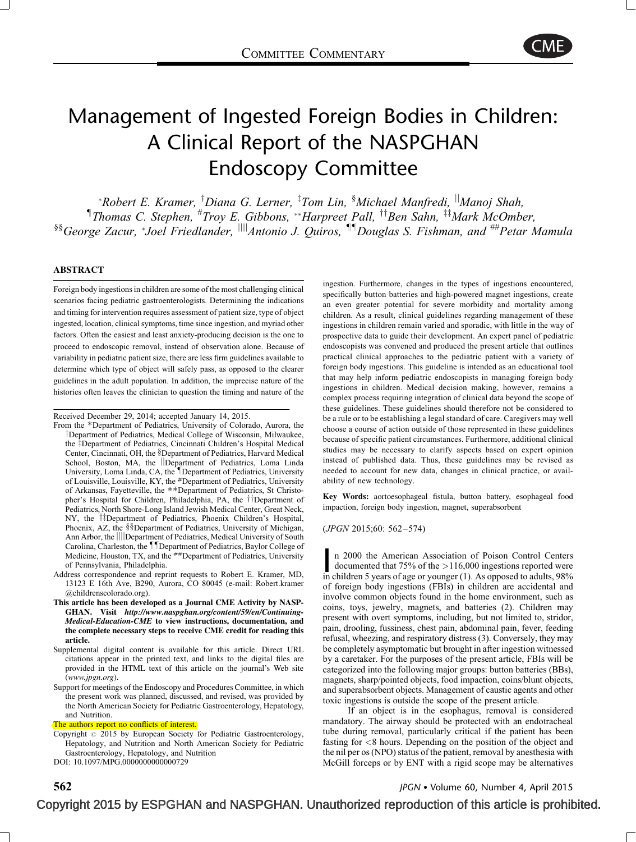# Management of Ingested Foreign Bodies in Children: A Clinical Report of the NASPGHAN Endoscopy Committee

\*Robert E. Kramer, <sup>†</sup>Diana G. Lerner, <sup>‡</sup>Tom Lin, <sup>§</sup>Michael Manfredi, <sup>||</sup>Manoj Shah,  $\P$ Thomas C. Stephen,  $H$ Troy E. Gibbons, \*\*Harpreet Pall,  $H$ Ben Sahn,  $H$ Mark McOmber, <sup>§§</sup>George Zacur, \*Joel Friedlander, <sup>||||</sup>Antonio J. Quiros, <sup>¶¶</sup>Douglas S. Fishman, and <sup>##</sup>Petar Mamula

### ABSTRACT

Foreign body ingestions in children are some of the most challenging clinical scenarios facing pediatric gastroenterologists. Determining the indications and timing for intervention requires assessment of patient size, type of object ingested, location, clinical symptoms, time since ingestion, and myriad other factors. Often the easiest and least anxiety-producing decision is the one to proceed to endoscopic removal, instead of observation alone. Because of variability in pediatric patient size, there are less firm guidelines available to determine which type of object will safely pass, as opposed to the clearer guidelines in the adult population. In addition, the imprecise nature of the histories often leaves the clinician to question the timing and nature of the

Received December 29, 2014; accepted January 14, 2015.

From the \*Department of Pediatrics, University of Colorado, Aurora, the <sup>†</sup>Department of Pediatrics, Medical College of Wisconsin, Milwaukee, the <sup>‡</sup>Department of Pediatrics, Cincinnati Children's Hospital Medical Center, Cincinnati, OH, the §Department of Pediatrics, Harvard Medical School, Boston, MA, the *Department* of Pediatrics, Loma Linda University, Loma Linda, CA, the Department of Pediatrics, University of Louisville, Louisville, KY, the #Department of Pediatrics, University of Arkansas, Fayetteville, the \*\*Department of Pediatrics, St Christopher's Hospital for Children, Philadelphia, PA, the <sup>††</sup>Department of Pediatrics, North Shore-Long Island Jewish Medical Center, Great Neck, NY, the #Department of Pediatrics, Phoenix Children's Hospital, Phoenix, AZ, the §§Department of Pediatrics, University of Michigan, Ann Arbor, the ||||Department of Pediatrics, Medical University of South Carolina, Charleston, the Department of Pediatrics, Baylor College of Medicine, Houston, TX, and the ##Department of Pediatrics, University of Pennsylvania, Philadelphia.

- Address correspondence and reprint requests to Robert E. Kramer, MD, 13123 E 16th Ave, B290, Aurora, CO 80045 (e-mail: Robert.kramer @childrenscolorado.org).
- This article has been developed as a Journal CME Activity by NASP-GHAN. Visit http://www.naspghan.org/content/59/en/Continuing-Medical-Education-CME to view instructions, documentation, and the complete necessary steps to receive CME credit for reading this article.
- Supplemental digital content is available for this article. Direct URL citations appear in the printed text, and links to the digital files are provided in the HTML text of this article on the journal's Web site (www.jpgn.org).
- Support for meetings of the Endoscopy and Procedures Committee, in which the present work was planned, discussed, and revised, was provided by the North American Society for Pediatric Gastroenterology, Hepatology, and Nutrition.

#### The authors report no conflicts of interest.

Copyright  $\circ$  2015 by European Society for Pediatric Gastroenterology, Hepatology, and Nutrition and North American Society for Pediatric Gastroenterology, Hepatology, and Nutrition

DOI: [10.1097/MPG.0000000000000729](http://dx.doi.org/10.1097/MPG.0000000000000729)

ingestion. Furthermore, changes in the types of ingestions encountered, specifically button batteries and high-powered magnet ingestions, create an even greater potential for severe morbidity and mortality among children. As a result, clinical guidelines regarding management of these ingestions in children remain varied and sporadic, with little in the way of prospective data to guide their development. An expert panel of pediatric endoscopists was convened and produced the present article that outlines practical clinical approaches to the pediatric patient with a variety of foreign body ingestions. This guideline is intended as an educational tool that may help inform pediatric endoscopists in managing foreign body ingestions in children. Medical decision making, however, remains a complex process requiring integration of clinical data beyond the scope of these guidelines. These guidelines should therefore not be considered to be a rule or to be establishing a legal standard of care. Caregivers may well choose a course of action outside of those represented in these guidelines because of specific patient circumstances. Furthermore, additional clinical studies may be necessary to clarify aspects based on expert opinion instead of published data. Thus, these guidelines may be revised as needed to account for new data, changes in clinical practice, or availability of new technology.

Key Words: aortoesophageal fistula, button battery, esophageal food impaction, foreign body ingestion, magnet, superabsorbent

(JPGN 2015;60: 562–574)

n 2000 the American Association of Poison Control Centers<br>documented that 75% of the >116,000 ingestions reported were<br>in children 5 years of age or younger [\(1\).](#page-10-0) As opposed to adults, 98% n 2000 the American Association of Poison Control Centers documented that 75% of the >116,000 ingestions reported were of foreign body ingestions (FBIs) in children are accidental and involve common objects found in the home environment, such as coins, toys, jewelry, magnets, and batteries [\(2\).](#page-10-0) Children may present with overt symptoms, including, but not limited to, stridor, pain, drooling, fussiness, chest pain, abdominal pain, fever, feeding refusal, wheezing, and respiratory distress [\(3\)](#page-10-0). Conversely, they may be completely asymptomatic but brought in after ingestion witnessed by a caretaker. For the purposes of the present article, FBIs will be categorized into the following major groups: button batteries (BBs), magnets, sharp/pointed objects, food impaction, coins/blunt objects, and superabsorbent objects. Management of caustic agents and other toxic ingestions is outside the scope of the present article.

If an object is in the esophagus, removal is considered mandatory. The airway should be protected with an endotracheal tube during removal, particularly critical if the patient has been fasting for <8 hours. Depending on the position of the object and the nil per os (NPO) status of the patient, removal by anesthesia with McGill forceps or by ENT with a rigid scope may be alternatives

 $562$  JPGN  $\cdot$ JPGN • Volume 60, Number 4, April 2015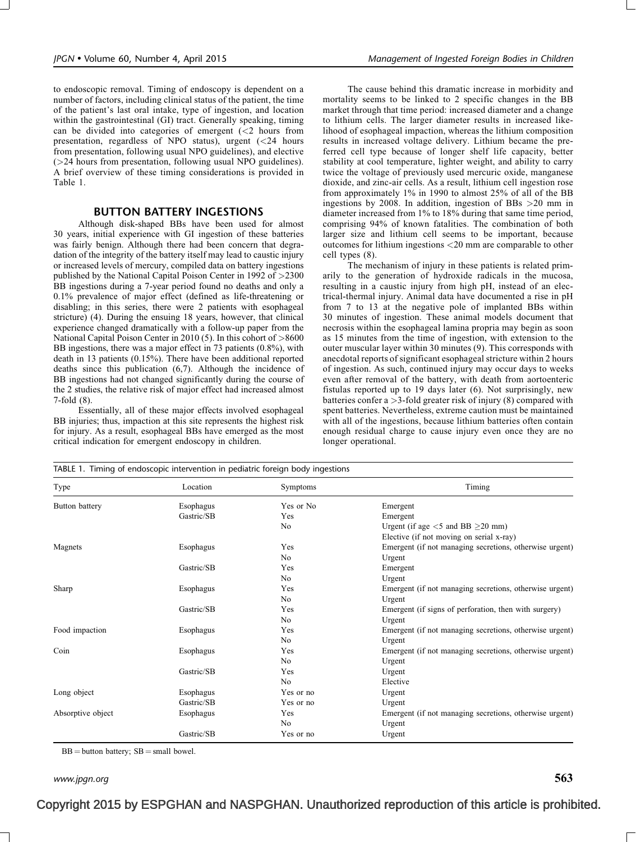to endoscopic removal. Timing of endoscopy is dependent on a number of factors, including clinical status of the patient, the time of the patient's last oral intake, type of ingestion, and location within the gastrointestinal (GI) tract. Generally speaking, timing can be divided into categories of emergent  $\ll$  hours from presentation, regardless of NPO status), urgent (<24 hours from presentation, following usual NPO guidelines), and elective (>24 hours from presentation, following usual NPO guidelines). A brief overview of these timing considerations is provided in Table 1.

### BUTTON BATTERY INGESTIONS

Although disk-shaped BBs have been used for almost 30 years, initial experience with GI ingestion of these batteries was fairly benign. Although there had been concern that degradation of the integrity of the battery itself may lead to caustic injury or increased levels of mercury, compiled data on battery ingestions published by the National Capital Poison Center in 1992 of >2300 BB ingestions during a 7-year period found no deaths and only a 0.1% prevalence of major effect (defined as life-threatening or disabling; in this series, there were 2 patients with esophageal stricture) [\(4\)](#page-10-0). During the ensuing 18 years, however, that clinical experience changed dramatically with a follow-up paper from the National Capital Poison Center in 2010 [\(5\)](#page-10-0). In this cohort of >8600 BB ingestions, there was a major effect in 73 patients (0.8%), with death in 13 patients (0.15%). There have been additional reported deaths since this publication [\(6,7\)](#page-10-0). Although the incidence of BB ingestions had not changed significantly during the course of the 2 studies, the relative risk of major effect had increased almost 7-fold [\(8\).](#page-10-0)

Essentially, all of these major effects involved esophageal BB injuries; thus, impaction at this site represents the highest risk for injury. As a result, esophageal BBs have emerged as the most critical indication for emergent endoscopy in children.

The cause behind this dramatic increase in morbidity and mortality seems to be linked to 2 specific changes in the BB market through that time period: increased diameter and a change to lithium cells. The larger diameter results in increased likelihood of esophageal impaction, whereas the lithium composition results in increased voltage delivery. Lithium became the preferred cell type because of longer shelf life capacity, better stability at cool temperature, lighter weight, and ability to carry twice the voltage of previously used mercuric oxide, manganese dioxide, and zinc-air cells. As a result, lithium cell ingestion rose from approximately 1% in 1990 to almost 25% of all of the BB ingestions by 2008. In addition, ingestion of BBs >20 mm in diameter increased from 1% to 18% during that same time period, comprising 94% of known fatalities. The combination of both larger size and lithium cell seems to be important, because outcomes for lithium ingestions <20 mm are comparable to other cell types [\(8\)](#page-10-0).

The mechanism of injury in these patients is related primarily to the generation of hydroxide radicals in the mucosa, resulting in a caustic injury from high pH, instead of an electrical-thermal injury. Animal data have documented a rise in pH from 7 to 13 at the negative pole of implanted BBs within 30 minutes of ingestion. These animal models document that necrosis within the esophageal lamina propria may begin as soon as 15 minutes from the time of ingestion, with extension to the outer muscular layer within 30 minutes [\(9\)](#page-10-0). This corresponds with anecdotal reports of significant esophageal stricture within 2 hours of ingestion. As such, continued injury may occur days to weeks even after removal of the battery, with death from aortoenteric fistulas reported up to 19 days later [\(6\).](#page-10-0) Not surprisingly, new batteries confer a  $>$ 3-fold greater risk of injury [\(8\)](#page-10-0) compared with spent batteries. Nevertheless, extreme caution must be maintained with all of the ingestions, because lithium batteries often contain enough residual charge to cause injury even once they are no longer operational.

| Type              | Location   | Symptoms       | Timing                                                  |
|-------------------|------------|----------------|---------------------------------------------------------|
| Button battery    | Esophagus  | Yes or No      | Emergent                                                |
|                   | Gastric/SB | Yes            | Emergent                                                |
|                   |            | N <sub>0</sub> | Urgent (if age $<$ 5 and BB $>$ 20 mm)                  |
|                   |            |                | Elective (if not moving on serial x-ray)                |
| Magnets           | Esophagus  | Yes            | Emergent (if not managing secretions, otherwise urgent) |
|                   |            | N <sub>0</sub> | Urgent                                                  |
|                   | Gastric/SB | Yes            | Emergent                                                |
|                   |            | N <sub>0</sub> | Urgent                                                  |
| Sharp             | Esophagus  | Yes            | Emergent (if not managing secretions, otherwise urgent) |
|                   |            | N <sub>0</sub> | Urgent                                                  |
|                   | Gastric/SB | Yes            | Emergent (if signs of perforation, then with surgery)   |
|                   |            | N <sub>0</sub> | Urgent                                                  |
| Food impaction    | Esophagus  | Yes            | Emergent (if not managing secretions, otherwise urgent) |
|                   |            | N <sub>0</sub> | Urgent                                                  |
| Coin              | Esophagus  | Yes            | Emergent (if not managing secretions, otherwise urgent) |
|                   |            | N <sub>0</sub> | Urgent                                                  |
|                   | Gastric/SB | Yes            | Urgent                                                  |
|                   |            | No             | Elective                                                |
| Long object       | Esophagus  | Yes or no      | Urgent                                                  |
|                   | Gastric/SB | Yes or no      | Urgent                                                  |
| Absorptive object | Esophagus  | Yes            | Emergent (if not managing secretions, otherwise urgent) |
|                   |            | N <sub>0</sub> | Urgent                                                  |
|                   | Gastric/SB | Yes or no      | Urgent                                                  |

 $BB =$  button battery;  $SB =$  small bowel.

www.jpgn.org  $563$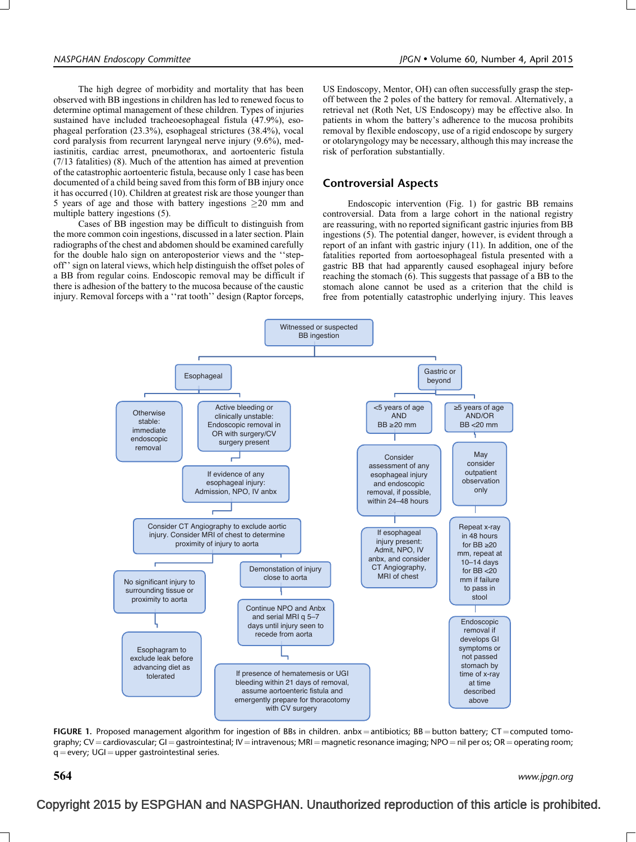The high degree of morbidity and mortality that has been observed with BB ingestions in children has led to renewed focus to determine optimal management of these children. Types of injuries sustained have included tracheoesophageal fistula (47.9%), esophageal perforation (23.3%), esophageal strictures (38.4%), vocal cord paralysis from recurrent laryngeal nerve injury (9.6%), mediastinitis, cardiac arrest, pneumothorax, and aortoenteric fistula (7/13 fatalities) [\(8\).](#page-10-0) Much of the attention has aimed at prevention of the catastrophic aortoenteric fistula, because only 1 case has been documented of a child being saved from this form of BB injury once it has occurred [\(10\)](#page-10-0). Children at greatest risk are those younger than 5 years of age and those with battery ingestions 20 mm and multiple battery ingestions [\(5\)](#page-10-0).

Cases of BB ingestion may be difficult to distinguish from the more common coin ingestions, discussed in a later section. Plain radiographs of the chest and abdomen should be examined carefully for the double halo sign on anteroposterior views and the ''stepoff'' sign on lateral views, which help distinguish the offset poles of a BB from regular coins. Endoscopic removal may be difficult if there is adhesion of the battery to the mucosa because of the caustic injury. Removal forceps with a ''rat tooth'' design (Raptor forceps,

US Endoscopy, Mentor, OH) can often successfully grasp the stepoff between the 2 poles of the battery for removal. Alternatively, a retrieval net (Roth Net, US Endoscopy) may be effective also. In patients in whom the battery's adherence to the mucosa prohibits removal by flexible endoscopy, use of a rigid endoscope by surgery or otolaryngology may be necessary, although this may increase the risk of perforation substantially.

### Controversial Aspects

Endoscopic intervention (Fig. 1) for gastric BB remains controversial. Data from a large cohort in the national registry are reassuring, with no reported significant gastric injuries from BB ingestions [\(5\).](#page-10-0) The potential danger, however, is evident through a report of an infant with gastric injury [\(11\).](#page-10-0) In addition, one of the fatalities reported from aortoesophageal fistula presented with a gastric BB that had apparently caused esophageal injury before reaching the stomach [\(6\).](#page-10-0) This suggests that passage of a BB to the stomach alone cannot be used as a criterion that the child is free from potentially catastrophic underlying injury. This leaves



FIGURE 1. Proposed management algorithm for ingestion of BBs in children. anbx = antibiotics; BB = button battery;  $CT =$  computed tomography; CV = cardiovascular; GI = gastrointestinal; IV = intravenous; MRI = magnetic resonance imaging; NPO = nil per os; OR = operating room;  $q =$  every; UGI  $=$  upper gastrointestinal series.

 $\bf 564$  www.jpgn.org www.jpgn.org www.jpgn.org www.jpgn.org www.jpgn.org www.jpgn.org www.jpgn.org  $\bf 564$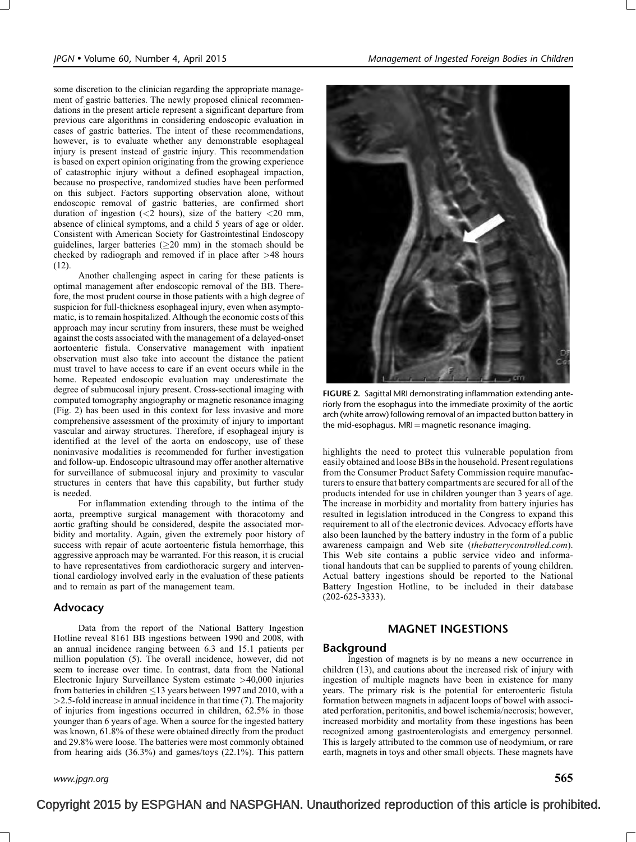some discretion to the clinician regarding the appropriate management of gastric batteries. The newly proposed clinical recommendations in the present article represent a significant departure from previous care algorithms in considering endoscopic evaluation in cases of gastric batteries. The intent of these recommendations, however, is to evaluate whether any demonstrable esophageal injury is present instead of gastric injury. This recommendation is based on expert opinion originating from the growing experience of catastrophic injury without a defined esophageal impaction, because no prospective, randomized studies have been performed on this subject. Factors supporting observation alone, without endoscopic removal of gastric batteries, are confirmed short duration of ingestion  $\left(\frac{2}{2} \text{ hours}\right)$ , size of the battery  $\left(\frac{20}{2} \text{ mm}\right)$ , absence of clinical symptoms, and a child 5 years of age or older. Consistent with American Society for Gastrointestinal Endoscopy guidelines, larger batteries  $(20 \text{ mm})$  in the stomach should be checked by radiograph and removed if in place after >48 hours [\(12\)](#page-10-0).

Another challenging aspect in caring for these patients is optimal management after endoscopic removal of the BB. Therefore, the most prudent course in those patients with a high degree of suspicion for full-thickness esophageal injury, even when asymptomatic, is to remain hospitalized. Although the economic costs of this approach may incur scrutiny from insurers, these must be weighed against the costs associated with the management of a delayed-onset aortoenteric fistula. Conservative management with inpatient observation must also take into account the distance the patient must travel to have access to care if an event occurs while in the home. Repeated endoscopic evaluation may underestimate the degree of submucosal injury present. Cross-sectional imaging with computed tomography angiography or magnetic resonance imaging (Fig. 2) has been used in this context for less invasive and more comprehensive assessment of the proximity of injury to important vascular and airway structures. Therefore, if esophageal injury is identified at the level of the aorta on endoscopy, use of these noninvasive modalities is recommended for further investigation and follow-up. Endoscopic ultrasound may offer another alternative for surveillance of submucosal injury and proximity to vascular structures in centers that have this capability, but further study is needed.

For inflammation extending through to the intima of the aorta, preemptive surgical management with thoracotomy and aortic grafting should be considered, despite the associated morbidity and mortality. Again, given the extremely poor history of success with repair of acute aortoenteric fistula hemorrhage, this aggressive approach may be warranted. For this reason, it is crucial to have representatives from cardiothoracic surgery and interventional cardiology involved early in the evaluation of these patients and to remain as part of the management team.

### Advocacy

Data from the report of the National Battery Ingestion Hotline reveal 8161 BB ingestions between 1990 and 2008, with an annual incidence ranging between 6.3 and 15.1 patients per million population [\(5\)](#page-10-0). The overall incidence, however, did not seem to increase over time. In contrast, data from the National Electronic Injury Surveillance System estimate >40,000 injuries from batteries in children  $\leq$  13 years between 1997 and 2010, with a  $>$ 2.5-fold increase in annual incidence in that time [\(7\).](#page-10-0) The majority of injuries from ingestions occurred in children, 62.5% in those younger than 6 years of age. When a source for the ingested battery was known, 61.8% of these were obtained directly from the product and 29.8% were loose. The batteries were most commonly obtained from hearing aids (36.3%) and games/toys (22.1%). This pattern

www.jpgn.org  $565$ 



FIGURE 2. Sagittal MRI demonstrating inflammation extending anteriorly from the esophagus into the immediate proximity of the aortic arch (white arrow) following removal of an impacted button battery in the mid-esophagus.  $MRI =$  magnetic resonance imaging.

highlights the need to protect this vulnerable population from easily obtained and loose BBs in the household. Present regulations from the Consumer Product Safety Commission require manufacturers to ensure that battery compartments are secured for all of the products intended for use in children younger than 3 years of age. The increase in morbidity and mortality from battery injuries has resulted in legislation introduced in the Congress to expand this requirement to all of the electronic devices. Advocacy efforts have also been launched by the battery industry in the form of a public awareness campaign and Web site (thebatterycontrolled.com). This Web site contains a public service video and informational handouts that can be supplied to parents of young children. Actual battery ingestions should be reported to the National Battery Ingestion Hotline, to be included in their database (202-625-3333).

### MAGNET INGESTIONS

#### Background

Ingestion of magnets is by no means a new occurrence in children [\(13\),](#page-10-0) and cautions about the increased risk of injury with ingestion of multiple magnets have been in existence for many years. The primary risk is the potential for enteroenteric fistula formation between magnets in adjacent loops of bowel with associated perforation, peritonitis, and bowel ischemia/necrosis; however, increased morbidity and mortality from these ingestions has been recognized among gastroenterologists and emergency personnel. This is largely attributed to the common use of neodymium, or rare earth, magnets in toys and other small objects. These magnets have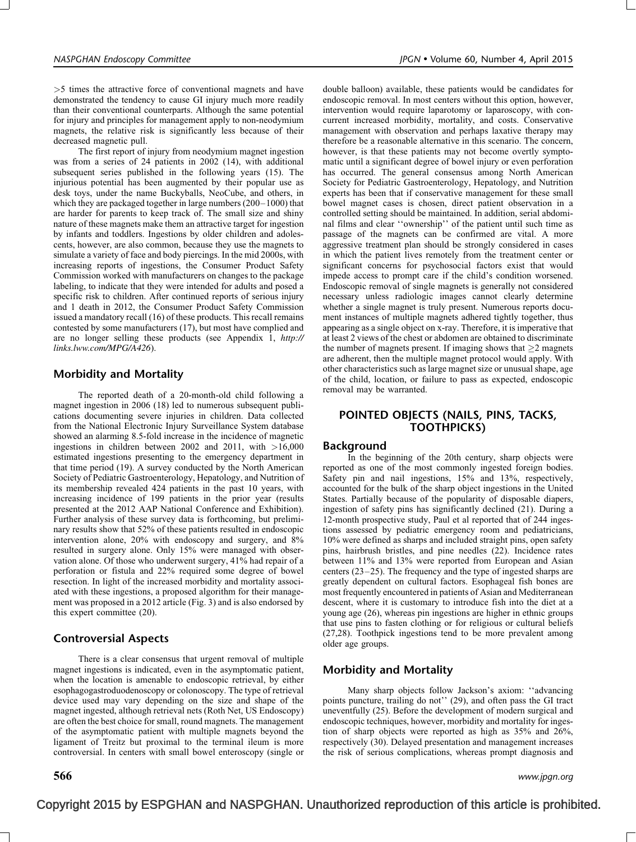>5 times the attractive force of conventional magnets and have demonstrated the tendency to cause GI injury much more readily than their conventional counterparts. Although the same potential for injury and principles for management apply to non-neodymium magnets, the relative risk is significantly less because of their decreased magnetic pull.

The first report of injury from neodymium magnet ingestion was from a series of 24 patients in 2002 [\(14\)](#page-10-0), with additional subsequent series published in the following years [\(15\)](#page-10-0). The injurious potential has been augmented by their popular use as desk toys, under the name Buckyballs, NeoCube, and others, in which they are packaged together in large numbers (200–1000) that are harder for parents to keep track of. The small size and shiny nature of these magnets make them an attractive target for ingestion by infants and toddlers. Ingestions by older children and adolescents, however, are also common, because they use the magnets to simulate a variety of face and body piercings. In the mid 2000s, with increasing reports of ingestions, the Consumer Product Safety Commission worked with manufacturers on changes to the package labeling, to indicate that they were intended for adults and posed a specific risk to children. After continued reports of serious injury and 1 death in 2012, the Consumer Product Safety Commission issued a mandatory recall [\(16\)](#page-10-0) of these products. This recall remains contested by some manufacturers [\(17\)](#page-10-0), but most have complied and are no longer selling these products (see Appendix 1, [http://](http://links.lww.com/MPG/A426) [links.lww.com/MPG/A426](http://links.lww.com/MPG/A426)).

### Morbidity and Mortality

The reported death of a 20-month-old child following a magnet ingestion in 2006 [\(18\)](#page-10-0) led to numerous subsequent publications documenting severe injuries in children. Data collected from the National Electronic Injury Surveillance System database showed an alarming 8.5-fold increase in the incidence of magnetic ingestions in children between 2002 and 2011, with  $>16,000$ estimated ingestions presenting to the emergency department in that time period [\(19\).](#page-10-0) A survey conducted by the North American Society of Pediatric Gastroenterology, Hepatology, and Nutrition of its membership revealed 424 patients in the past 10 years, with increasing incidence of 199 patients in the prior year (results presented at the 2012 AAP National Conference and Exhibition). Further analysis of these survey data is forthcoming, but preliminary results show that 52% of these patients resulted in endoscopic intervention alone, 20% with endoscopy and surgery, and 8% resulted in surgery alone. Only 15% were managed with observation alone. Of those who underwent surgery, 41% had repair of a perforation or fistula and 22% required some degree of bowel resection. In light of the increased morbidity and mortality associated with these ingestions, a proposed algorithm for their management was proposed in a 2012 article [\(Fig. 3\)](#page-5-0) and is also endorsed by this expert committee [\(20\).](#page-10-0)

### Controversial Aspects

There is a clear consensus that urgent removal of multiple magnet ingestions is indicated, even in the asymptomatic patient, when the location is amenable to endoscopic retrieval, by either esophagogastroduodenoscopy or colonoscopy. The type of retrieval device used may vary depending on the size and shape of the magnet ingested, although retrieval nets (Roth Net, US Endoscopy) are often the best choice for small, round magnets. The management of the asymptomatic patient with multiple magnets beyond the ligament of Treitz but proximal to the terminal ileum is more controversial. In centers with small bowel enteroscopy (single or

double balloon) available, these patients would be candidates for endoscopic removal. In most centers without this option, however, intervention would require laparotomy or laparoscopy, with concurrent increased morbidity, mortality, and costs. Conservative management with observation and perhaps laxative therapy may therefore be a reasonable alternative in this scenario. The concern, however, is that these patients may not become overtly symptomatic until a significant degree of bowel injury or even perforation has occurred. The general consensus among North American Society for Pediatric Gastroenterology, Hepatology, and Nutrition experts has been that if conservative management for these small bowel magnet cases is chosen, direct patient observation in a controlled setting should be maintained. In addition, serial abdominal films and clear ''ownership'' of the patient until such time as passage of the magnets can be confirmed are vital. A more aggressive treatment plan should be strongly considered in cases in which the patient lives remotely from the treatment center or significant concerns for psychosocial factors exist that would impede access to prompt care if the child's condition worsened. Endoscopic removal of single magnets is generally not considered necessary unless radiologic images cannot clearly determine whether a single magnet is truly present. Numerous reports document instances of multiple magnets adhered tightly together, thus appearing as a single object on x-ray. Therefore, it is imperative that at least 2 views of the chest or abdomen are obtained to discriminate the number of magnets present. If imaging shows that  $\geq 2$  magnets are adherent, then the multiple magnet protocol would apply. With other characteristics such as large magnet size or unusual shape, age of the child, location, or failure to pass as expected, endoscopic removal may be warranted.

### POINTED OBJECTS (NAILS, PINS, TACKS, TOOTHPICKS)

#### Background

In the beginning of the 20th century, sharp objects were reported as one of the most commonly ingested foreign bodies. Safety pin and nail ingestions, 15% and 13%, respectively, accounted for the bulk of the sharp object ingestions in the United States. Partially because of the popularity of disposable diapers, ingestion of safety pins has significantly declined [\(21\)](#page-10-0). During a 12-month prospective study, Paul et al reported that of 244 ingestions assessed by pediatric emergency room and pediatricians, 10% were defined as sharps and included straight pins, open safety pins, hairbrush bristles, and pine needles [\(22\).](#page-11-0) Incidence rates between 11% and 13% were reported from European and Asian centers [\(23–25\)](#page-11-0). The frequency and the type of ingested sharps are greatly dependent on cultural factors. Esophageal fish bones are most frequently encountered in patients of Asian and Mediterranean descent, where it is customary to introduce fish into the diet at a young age [\(26\)](#page-11-0), whereas pin ingestions are higher in ethnic groups that use pins to fasten clothing or for religious or cultural beliefs [\(27,28\).](#page-11-0) Toothpick ingestions tend to be more prevalent among older age groups.

### Morbidity and Mortality

Many sharp objects follow Jackson's axiom: ''advancing points puncture, trailing do not'' [\(29\)](#page-11-0), and often pass the GI tract uneventfully [\(25\)](#page-11-0). Before the development of modern surgical and endoscopic techniques, however, morbidity and mortality for ingestion of sharp objects were reported as high as 35% and 26%, respectively [\(30\)](#page-11-0). Delayed presentation and management increases the risk of serious complications, whereas prompt diagnosis and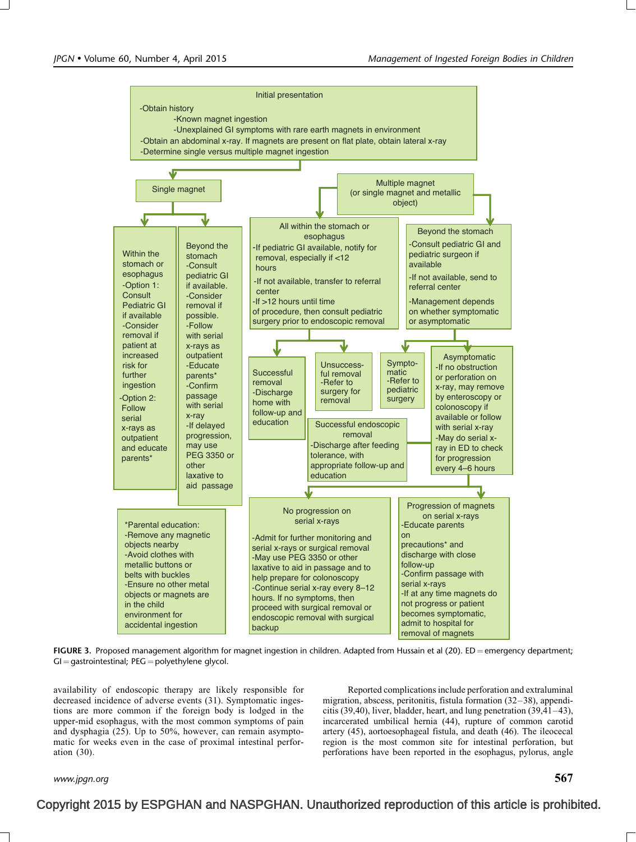<span id="page-5-0"></span>

FIGURE 3. Proposed management algorithm for magnet ingestion in children. Adapted from Hussain et al [\(20\)](#page-10-0). ED = emergency department;  $GI =$  gastrointestinal; PEG = polyethylene glycol.

availability of endoscopic therapy are likely responsible for decreased incidence of adverse events [\(31\)](#page-11-0). Symptomatic ingestions are more common if the foreign body is lodged in the upper-mid esophagus, with the most common symptoms of pain and dysphagia [\(25\)](#page-11-0). Up to 50%, however, can remain asymptomatic for weeks even in the case of proximal intestinal perforation [\(30\)](#page-11-0).

Reported complications include perforation and extraluminal migration, abscess, peritonitis, fistula formation [\(32–38\)](#page-11-0), appendicitis [\(39,40\),](#page-11-0) liver, bladder, heart, and lung penetration [\(39,41–43\)](#page-11-0), incarcerated umbilical hernia [\(44\)](#page-11-0), rupture of common carotid artery [\(45\)](#page-11-0), aortoesophageal fistula, and death [\(46\)](#page-11-0). The ileocecal region is the most common site for intestinal perforation, but perforations have been reported in the esophagus, pylorus, angle

### www.jpgn.org  $567$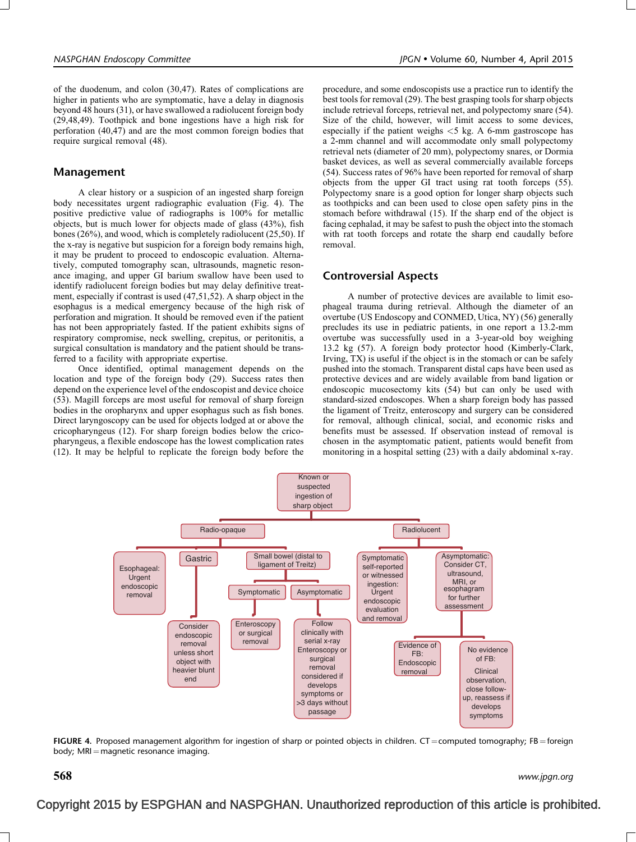of the duodenum, and colon [\(30,47\).](#page-11-0) Rates of complications are higher in patients who are symptomatic, have a delay in diagnosis beyond 48 hours [\(31\),](#page-11-0) or have swallowed a radiolucent foreign body [\(29,48,49\)](#page-11-0). Toothpick and bone ingestions have a high risk for perforation [\(40,47\)](#page-11-0) and are the most common foreign bodies that require surgical removal [\(48\).](#page-11-0)

### Management

A clear history or a suspicion of an ingested sharp foreign body necessitates urgent radiographic evaluation (Fig. 4). The positive predictive value of radiographs is 100% for metallic objects, but is much lower for objects made of glass (43%), fish bones (26%), and wood, which is completely radiolucent [\(25,50\).](#page-11-0) If the x-ray is negative but suspicion for a foreign body remains high, it may be prudent to proceed to endoscopic evaluation. Alternatively, computed tomography scan, ultrasounds, magnetic resonance imaging, and upper GI barium swallow have been used to identify radiolucent foreign bodies but may delay definitive treatment, especially if contrast is used [\(47,51,52\).](#page-11-0) A sharp object in the esophagus is a medical emergency because of the high risk of perforation and migration. It should be removed even if the patient has not been appropriately fasted. If the patient exhibits signs of respiratory compromise, neck swelling, crepitus, or peritonitis, a surgical consultation is mandatory and the patient should be transferred to a facility with appropriate expertise.

Once identified, optimal management depends on the location and type of the foreign body [\(29\)](#page-11-0). Success rates then depend on the experience level of the endoscopist and device choice [\(53\)](#page-11-0). Magill forceps are most useful for removal of sharp foreign bodies in the oropharynx and upper esophagus such as fish bones. Direct laryngoscopy can be used for objects lodged at or above the cricopharyngeus [\(12\)](#page-10-0). For sharp foreign bodies below the cricopharyngeus, a flexible endoscope has the lowest complication rates [\(12\)](#page-10-0). It may be helpful to replicate the foreign body before the

procedure, and some endoscopists use a practice run to identify the best tools for removal [\(29\).](#page-11-0) The best grasping tools for sharp objects include retrieval forceps, retrieval net, and polypectomy snare [\(54\)](#page-11-0). Size of the child, however, will limit access to some devices, especially if the patient weighs  $\lt$  5 kg. A 6-mm gastroscope has a 2-mm channel and will accommodate only small polypectomy retrieval nets (diameter of 20 mm), polypectomy snares, or Dormia basket devices, as well as several commercially available forceps [\(54\)](#page-11-0). Success rates of 96% have been reported for removal of sharp objects from the upper GI tract using rat tooth forceps [\(55\)](#page-11-0). Polypectomy snare is a good option for longer sharp objects such as toothpicks and can been used to close open safety pins in the stomach before withdrawal [\(15\)](#page-10-0). If the sharp end of the object is facing cephalad, it may be safest to push the object into the stomach with rat tooth forceps and rotate the sharp end caudally before removal.

### Controversial Aspects

A number of protective devices are available to limit esophageal trauma during retrieval. Although the diameter of an overtube (US Endoscopy and CONMED, Utica, NY) [\(56\)](#page-11-0) generally precludes its use in pediatric patients, in one report a 13.2-mm overtube was successfully used in a 3-year-old boy weighing 13.2 kg [\(57\)](#page-11-0). A foreign body protector hood (Kimberly-Clark, Irving, TX) is useful if the object is in the stomach or can be safely pushed into the stomach. Transparent distal caps have been used as protective devices and are widely available from band ligation or endoscopic mucosectomy kits [\(54\)](#page-11-0) but can only be used with standard-sized endoscopes. When a sharp foreign body has passed the ligament of Treitz, enteroscopy and surgery can be considered for removal, although clinical, social, and economic risks and benefits must be assessed. If observation instead of removal is chosen in the asymptomatic patient, patients would benefit from monitoring in a hospital setting [\(23\)](#page-11-0) with a daily abdominal x-ray.



FIGURE 4. Proposed management algorithm for ingestion of sharp or pointed objects in children.  $CT =$ computed tomography; FB = foreign body; MRI = magnetic resonance imaging.

 $568$  www.jpgn.org www.jpgn.org www.jpgn.org www.jpgn.org www.jpgn.org www.jpgn.org www.jpgn.org  $\sim$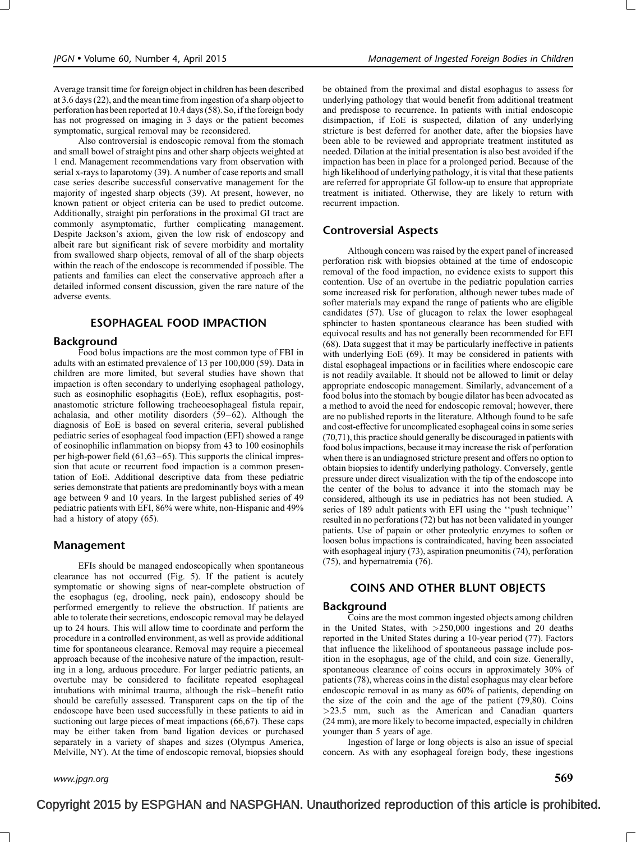Average transit time for foreign object in children has been described at 3.6 days [\(22\)](#page-11-0), and the mean time from ingestion of a sharp object to perforation has been reported at 10.4 days [\(58\).](#page-11-0) So, if the foreign body has not progressed on imaging in 3 days or the patient becomes symptomatic, surgical removal may be reconsidered.

Also controversial is endoscopic removal from the stomach and small bowel of straight pins and other sharp objects weighted at 1 end. Management recommendations vary from observation with serial x-rays to laparotomy [\(39\)](#page-11-0). A number of case reports and small case series describe successful conservative management for the majority of ingested sharp objects [\(39\)](#page-11-0). At present, however, no known patient or object criteria can be used to predict outcome. Additionally, straight pin perforations in the proximal GI tract are commonly asymptomatic, further complicating management. Despite Jackson's axiom, given the low risk of endoscopy and albeit rare but significant risk of severe morbidity and mortality from swallowed sharp objects, removal of all of the sharp objects within the reach of the endoscope is recommended if possible. The patients and families can elect the conservative approach after a detailed informed consent discussion, given the rare nature of the adverse events.

### ESOPHAGEAL FOOD IMPACTION

#### Background

Food bolus impactions are the most common type of FBI in adults with an estimated prevalence of 13 per 100,000 [\(59\).](#page-11-0) Data in children are more limited, but several studies have shown that impaction is often secondary to underlying esophageal pathology, such as eosinophilic esophagitis (EoE), reflux esophagitis, postanastomotic stricture following tracheoesophageal fistula repair, achalasia, and other motility disorders [\(59–62\).](#page-11-0) Although the diagnosis of EoE is based on several criteria, several published pediatric series of esophageal food impaction (EFI) showed a range of eosinophilic inflammation on biopsy from 43 to 100 eosinophils per high-power field [\(61,63–65\).](#page-11-0) This supports the clinical impression that acute or recurrent food impaction is a common presentation of EoE. Additional descriptive data from these pediatric series demonstrate that patients are predominantly boys with a mean age between 9 and 10 years. In the largest published series of 49 pediatric patients with EFI, 86% were white, non-Hispanic and 49% had a history of atopy [\(65\)](#page-11-0).

### Management

EFIs should be managed endoscopically when spontaneous clearance has not occurred ([Fig. 5\)](#page-8-0). If the patient is acutely symptomatic or showing signs of near-complete obstruction of the esophagus (eg, drooling, neck pain), endoscopy should be performed emergently to relieve the obstruction. If patients are able to tolerate their secretions, endoscopic removal may be delayed up to 24 hours. This will allow time to coordinate and perform the procedure in a controlled environment, as well as provide additional time for spontaneous clearance. Removal may require a piecemeal approach because of the incohesive nature of the impaction, resulting in a long, arduous procedure. For larger pediatric patients, an overtube may be considered to facilitate repeated esophageal intubations with minimal trauma, although the risk–benefit ratio should be carefully assessed. Transparent caps on the tip of the endoscope have been used successfully in these patients to aid in suctioning out large pieces of meat impactions [\(66,67\).](#page-11-0) These caps may be either taken from band ligation devices or purchased separately in a variety of shapes and sizes (Olympus America, Melville, NY). At the time of endoscopic removal, biopsies should

www.jpgn.org  $569$ 

be obtained from the proximal and distal esophagus to assess for underlying pathology that would benefit from additional treatment and predispose to recurrence. In patients with initial endoscopic disimpaction, if EoE is suspected, dilation of any underlying stricture is best deferred for another date, after the biopsies have been able to be reviewed and appropriate treatment instituted as needed. Dilation at the initial presentation is also best avoided if the impaction has been in place for a prolonged period. Because of the high likelihood of underlying pathology, it is vital that these patients are referred for appropriate GI follow-up to ensure that appropriate treatment is initiated. Otherwise, they are likely to return with recurrent impaction.

### Controversial Aspects

Although concern was raised by the expert panel of increased perforation risk with biopsies obtained at the time of endoscopic removal of the food impaction, no evidence exists to support this contention. Use of an overtube in the pediatric population carries some increased risk for perforation, although newer tubes made of softer materials may expand the range of patients who are eligible candidates [\(57\)](#page-11-0). Use of glucagon to relax the lower esophageal sphincter to hasten spontaneous clearance has been studied with equivocal results and has not generally been recommended for EFI [\(68\)](#page-11-0). Data suggest that it may be particularly ineffective in patients with underlying EoE [\(69\)](#page-11-0). It may be considered in patients with distal esophageal impactions or in facilities where endoscopic care is not readily available. It should not be allowed to limit or delay appropriate endoscopic management. Similarly, advancement of a food bolus into the stomach by bougie dilator has been advocated as a method to avoid the need for endoscopic removal; however, there are no published reports in the literature. Although found to be safe and cost-effective for uncomplicated esophageal coins in some series [\(70,71\)](#page-11-0), this practice should generally be discouraged in patients with food bolus impactions, because it may increase the risk of perforation when there is an undiagnosed stricture present and offers no option to obtain biopsies to identify underlying pathology. Conversely, gentle pressure under direct visualization with the tip of the endoscope into the center of the bolus to advance it into the stomach may be considered, although its use in pediatrics has not been studied. A series of 189 adult patients with EFI using the ''push technique'' resulted in no perforations [\(72\)](#page-11-0) but has not been validated in younger patients. Use of papain or other proteolytic enzymes to soften or loosen bolus impactions is contraindicated, having been associated with esophageal injury [\(73\)](#page-11-0), aspiration pneumonitis [\(74\)](#page-11-0), perforation [\(75\)](#page-11-0), and hypernatremia [\(76\)](#page-11-0).

### COINS AND OTHER BLUNT OBJECTS

#### Background

Coins are the most common ingested objects among children in the United States, with >250,000 ingestions and 20 deaths reported in the United States during a 10-year period [\(77\)](#page-12-0). Factors that influence the likelihood of spontaneous passage include position in the esophagus, age of the child, and coin size. Generally, spontaneous clearance of coins occurs in approximately 30% of patients [\(78\)](#page-12-0), whereas coins in the distal esophagus may clear before endoscopic removal in as many as 60% of patients, depending on the size of the coin and the age of the patient [\(79,80\).](#page-12-0) Coins >23.5 mm, such as the American and Canadian quarters (24 mm), are more likely to become impacted, especially in children younger than 5 years of age.

Ingestion of large or long objects is also an issue of special concern. As with any esophageal foreign body, these ingestions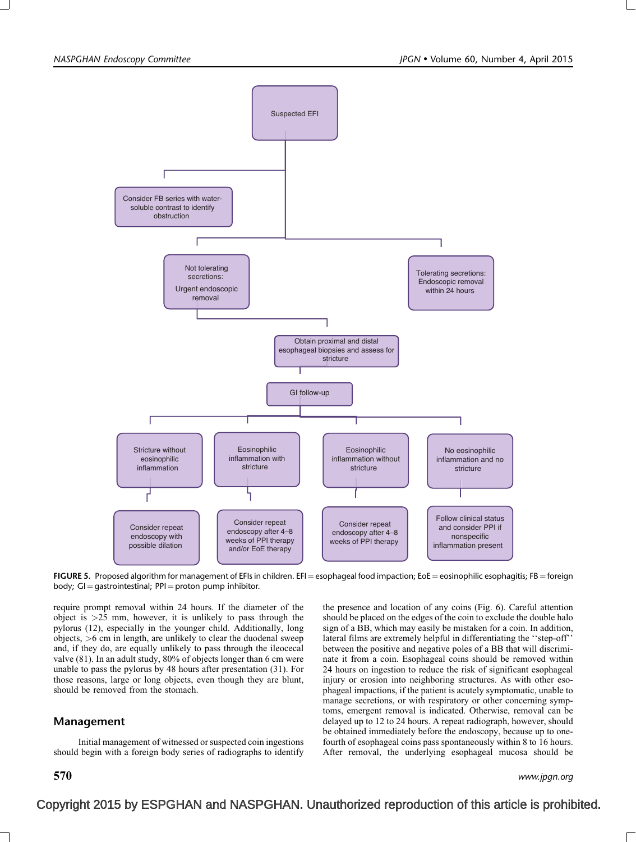<span id="page-8-0"></span>

FIGURE 5. Proposed algorithm for management of EFIs in children. EFI = esophageal food impaction; EoE = eosinophilic esophagitis; FB = foreign body;  $GI =$  gastrointestinal;  $PPI =$  proton pump inhibitor.

require prompt removal within 24 hours. If the diameter of the object is  $>25$  mm, however, it is unlikely to pass through the pylorus [\(12\),](#page-10-0) especially in the younger child. Additionally, long objects, >6 cm in length, are unlikely to clear the duodenal sweep and, if they do, are equally unlikely to pass through the ileocecal valve [\(81\).](#page-12-0) In an adult study, 80% of objects longer than 6 cm were unable to pass the pylorus by 48 hours after presentation [\(31\).](#page-11-0) For those reasons, large or long objects, even though they are blunt, should be removed from the stomach.

### Management

Initial management of witnessed or suspected coin ingestions should begin with a foreign body series of radiographs to identify

the presence and location of any coins [\(Fig. 6](#page-9-0)). Careful attention should be placed on the edges of the coin to exclude the double halo sign of a BB, which may easily be mistaken for a coin. In addition, lateral films are extremely helpful in differentiating the ''step-off'' between the positive and negative poles of a BB that will discriminate it from a coin. Esophageal coins should be removed within 24 hours on ingestion to reduce the risk of significant esophageal injury or erosion into neighboring structures. As with other esophageal impactions, if the patient is acutely symptomatic, unable to manage secretions, or with respiratory or other concerning symptoms, emergent removal is indicated. Otherwise, removal can be delayed up to 12 to 24 hours. A repeat radiograph, however, should be obtained immediately before the endoscopy, because up to onefourth of esophageal coins pass spontaneously within 8 to 16 hours. After removal, the underlying esophageal mucosa should be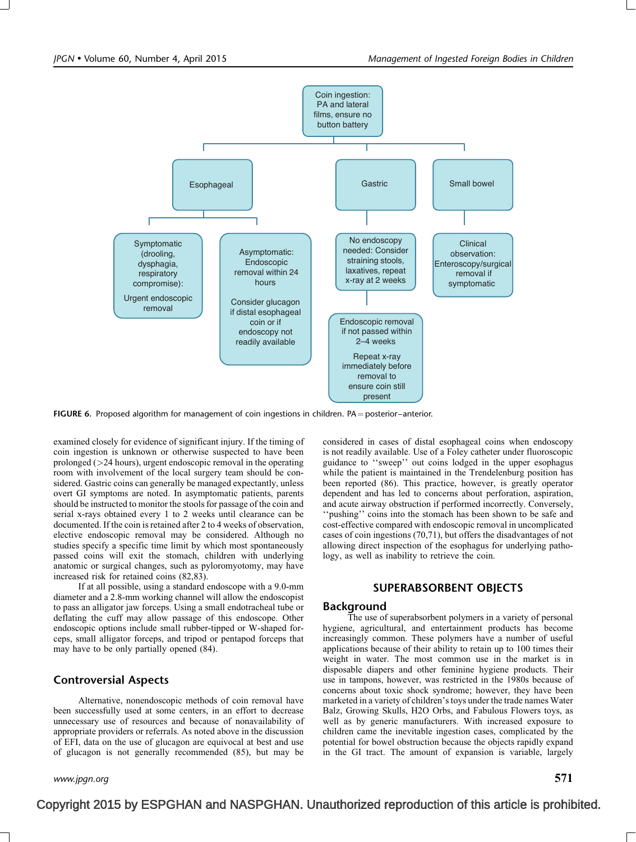<span id="page-9-0"></span>

FIGURE 6. Proposed algorithm for management of coin ingestions in children. PA = posterior–anterior.

examined closely for evidence of significant injury. If the timing of coin ingestion is unknown or otherwise suspected to have been prolonged (>24 hours), urgent endoscopic removal in the operating room with involvement of the local surgery team should be considered. Gastric coins can generally be managed expectantly, unless overt GI symptoms are noted. In asymptomatic patients, parents should be instructed to monitor the stools for passage of the coin and serial x-rays obtained every 1 to 2 weeks until clearance can be documented. If the coin is retained after 2 to 4 weeks of observation, elective endoscopic removal may be considered. Although no studies specify a specific time limit by which most spontaneously passed coins will exit the stomach, children with underlying anatomic or surgical changes, such as pyloromyotomy, may have increased risk for retained coins [\(82,83\)](#page-12-0).

If at all possible, using a standard endoscope with a 9.0-mm diameter and a 2.8-mm working channel will allow the endoscopist to pass an alligator jaw forceps. Using a small endotracheal tube or deflating the cuff may allow passage of this endoscope. Other endoscopic options include small rubber-tipped or W-shaped forceps, small alligator forceps, and tripod or pentapod forceps that may have to be only partially opened [\(84\)](#page-12-0).

### Controversial Aspects

Alternative, nonendoscopic methods of coin removal have been successfully used at some centers, in an effort to decrease unnecessary use of resources and because of nonavailability of appropriate providers or referrals. As noted above in the discussion of EFI, data on the use of glucagon are equivocal at best and use of glucagon is not generally recommended [\(85\)](#page-12-0), but may be

www.jpgn.org  $571$ 

considered in cases of distal esophageal coins when endoscopy is not readily available. Use of a Foley catheter under fluoroscopic guidance to ''sweep'' out coins lodged in the upper esophagus while the patient is maintained in the Trendelenburg position has been reported [\(86\)](#page-12-0). This practice, however, is greatly operator dependent and has led to concerns about perforation, aspiration, and acute airway obstruction if performed incorrectly. Conversely, ''pushing'' coins into the stomach has been shown to be safe and cost-effective compared with endoscopic removal in uncomplicated cases of coin ingestions [\(70,71\),](#page-11-0) but offers the disadvantages of not allowing direct inspection of the esophagus for underlying pathology, as well as inability to retrieve the coin.

### SUPERABSORBENT OBJECTS

#### Background

The use of superabsorbent polymers in a variety of personal hygiene, agricultural, and entertainment products has become increasingly common. These polymers have a number of useful applications because of their ability to retain up to 100 times their weight in water. The most common use in the market is in disposable diapers and other feminine hygiene products. Their use in tampons, however, was restricted in the 1980s because of concerns about toxic shock syndrome; however, they have been marketed in a variety of children's toys under the trade names Water Balz, Growing Skulls, H2O Orbs, and Fabulous Flowers toys, as well as by generic manufacturers. With increased exposure to children came the inevitable ingestion cases, complicated by the potential for bowel obstruction because the objects rapidly expand in the GI tract. The amount of expansion is variable, largely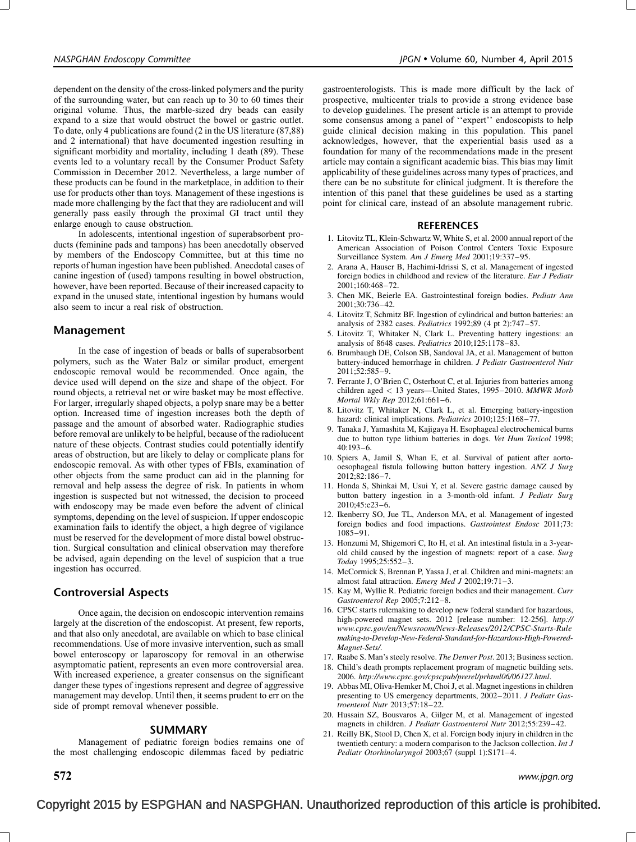<span id="page-10-0"></span>dependent on the density of the cross-linked polymers and the purity of the surrounding water, but can reach up to 30 to 60 times their original volume. Thus, the marble-sized dry beads can easily expand to a size that would obstruct the bowel or gastric outlet. To date, only 4 publications are found (2 in the US literature [\(87,88\)](#page-12-0) and 2 international) that have documented ingestion resulting in significant morbidity and mortality, including 1 death [\(89\).](#page-12-0) These events led to a voluntary recall by the Consumer Product Safety Commission in December 2012. Nevertheless, a large number of these products can be found in the marketplace, in addition to their use for products other than toys. Management of these ingestions is made more challenging by the fact that they are radiolucent and will generally pass easily through the proximal GI tract until they enlarge enough to cause obstruction.

In adolescents, intentional ingestion of superabsorbent products (feminine pads and tampons) has been anecdotally observed by members of the Endoscopy Committee, but at this time no reports of human ingestion have been published. Anecdotal cases of canine ingestion of (used) tampons resulting in bowel obstruction, however, have been reported. Because of their increased capacity to expand in the unused state, intentional ingestion by humans would also seem to incur a real risk of obstruction.

### Management

In the case of ingestion of beads or balls of superabsorbent polymers, such as the Water Balz or similar product, emergent endoscopic removal would be recommended. Once again, the device used will depend on the size and shape of the object. For round objects, a retrieval net or wire basket may be most effective. For larger, irregularly shaped objects, a polyp snare may be a better option. Increased time of ingestion increases both the depth of passage and the amount of absorbed water. Radiographic studies before removal are unlikely to be helpful, because of the radiolucent nature of these objects. Contrast studies could potentially identify areas of obstruction, but are likely to delay or complicate plans for endoscopic removal. As with other types of FBIs, examination of other objects from the same product can aid in the planning for removal and help assess the degree of risk. In patients in whom ingestion is suspected but not witnessed, the decision to proceed with endoscopy may be made even before the advent of clinical symptoms, depending on the level of suspicion. If upper endoscopic examination fails to identify the object, a high degree of vigilance must be reserved for the development of more distal bowel obstruction. Surgical consultation and clinical observation may therefore be advised, again depending on the level of suspicion that a true ingestion has occurred.

### Controversial Aspects

Once again, the decision on endoscopic intervention remains largely at the discretion of the endoscopist. At present, few reports, and that also only anecdotal, are available on which to base clinical recommendations. Use of more invasive intervention, such as small bowel enteroscopy or laparoscopy for removal in an otherwise asymptomatic patient, represents an even more controversial area. With increased experience, a greater consensus on the significant danger these types of ingestions represent and degree of aggressive management may develop. Until then, it seems prudent to err on the side of prompt removal whenever possible.

### SUMMARY

Management of pediatric foreign bodies remains one of the most challenging endoscopic dilemmas faced by pediatric

gastroenterologists. This is made more difficult by the lack of prospective, multicenter trials to provide a strong evidence base to develop guidelines. The present article is an attempt to provide some consensus among a panel of "expert" endoscopists to help guide clinical decision making in this population. This panel acknowledges, however, that the experiential basis used as a foundation for many of the recommendations made in the present article may contain a significant academic bias. This bias may limit applicability of these guidelines across many types of practices, and there can be no substitute for clinical judgment. It is therefore the intention of this panel that these guidelines be used as a starting point for clinical care, instead of an absolute management rubric.

JPGN • Volume 60, Number 4, April 2015

#### **REFERENCES**

- 1. Litovitz TL, Klein-Schwartz W, White S, et al. 2000 annual report of the American Association of Poison Control Centers Toxic Exposure Surveillance System. Am J Emerg Med 2001;19:337–95.
- 2. Arana A, Hauser B, Hachimi-Idrissi S, et al. Management of ingested foreign bodies in childhood and review of the literature. Eur J Pediatr 2001;160:468–72.
- 3. Chen MK, Beierle EA. Gastrointestinal foreign bodies. Pediatr Ann 2001;30:736–42.
- 4. Litovitz T, Schmitz BF. Ingestion of cylindrical and button batteries: an analysis of 2382 cases. Pediatrics 1992;89 (4 pt 2):747–57.
- 5. Litovitz T, Whitaker N, Clark L. Preventing battery ingestions: an analysis of 8648 cases. Pediatrics 2010;125:1178–83.
- 6. Brumbaugh DE, Colson SB, Sandoval JA, et al. Management of button battery-induced hemorrhage in children. J Pediatr Gastroenterol Nutr  $2011.52.585 - 9$
- 7. Ferrante J, O'Brien C, Osterhout C, et al. Injuries from batteries among children aged < 13 years*—*United States, 1995–2010. MMWR Morb Mortal Wkly Rep 2012;61:661–6.
- 8. Litovitz T, Whitaker N, Clark L, et al. Emerging battery-ingestion hazard: clinical implications. Pediatrics 2010;125:1168-77.
- 9. Tanaka J, Yamashita M, Kajigaya H. Esophageal electrochemical burns due to button type lithium batteries in dogs. Vet Hum Toxicol 1998; 40:193–6.
- 10. Spiers A, Jamil S, Whan E, et al. Survival of patient after aortooesophageal fistula following button battery ingestion. ANZ J Surg 2012;82:186–7.
- 11. Honda S, Shinkai M, Usui Y, et al. Severe gastric damage caused by button battery ingestion in a 3-month-old infant. J Pediatr Surg 2010;45:e23–6.
- 12. Ikenberry SO, Jue TL, Anderson MA, et al. Management of ingested foreign bodies and food impactions. Gastrointest Endosc 2011;73: 1085–91.
- 13. Honzumi M, Shigemori C, Ito H, et al. An intestinal fistula in a 3-yearold child caused by the ingestion of magnets: report of a case. Surg Today 1995;25:552–3.
- 14. McCormick S, Brennan P, Yassa J, et al. Children and mini-magnets: an almost fatal attraction. Emerg Med J 2002;19:71–3.
- 15. Kay M, Wyllie R. Pediatric foreign bodies and their management. Curr Gastroenterol Rep 2005;7:212–8.
- 16. CPSC starts rulemaking to develop new federal standard for hazardous, high-powered magnet sets. 2012 [release number: 12-256]. [http://](http://www.cpsc.gov/en/Newsroom/News-Releases/2012/CPSC-Starts-Rulemaking-to-Develop-New-Federal-Standard-for-Hazardous-High-Powered-Magnet-Sets/) [www.cpsc.gov/en/Newsroom/News-Releases/2012/CPSC-Starts-Rule](http://www.cpsc.gov/en/Newsroom/News-Releases/2012/CPSC-Starts-Rulemaking-to-Develop-New-Federal-Standard-for-Hazardous-High-Powered-Magnet-Sets/) [making-to-Develop-New-Federal-Standard-for-Hazardous-High-Powered-](http://www.cpsc.gov/en/Newsroom/News-Releases/2012/CPSC-Starts-Rulemaking-to-Develop-New-Federal-Standard-for-Hazardous-High-Powered-Magnet-Sets/)[Magnet-Sets/](http://www.cpsc.gov/en/Newsroom/News-Releases/2012/CPSC-Starts-Rulemaking-to-Develop-New-Federal-Standard-for-Hazardous-High-Powered-Magnet-Sets/).
- 17. Raabe S. Man's steely resolve. The Denver Post. 2013; Business section.
- 18. Child's death prompts replacement program of magnetic building sets. 2006. <http://www.cpsc.gov/cpscpub/prerel/prhtml06/06127.html>.
- 19. Abbas MI, Oliva-Hemker M, Choi J, et al. Magnet ingestions in children presenting to US emergency departments, 2002–2011. J Pediatr Gastroenterol Nutr 2013;57:18–22.
- 20. Hussain SZ, Bousvaros A, Gilger M, et al. Management of ingested magnets in children. J Pediatr Gastroenterol Nutr 2012;55:239–42.
- 21. Reilly BK, Stool D, Chen X, et al. Foreign body injury in children in the twentieth century: a modern comparison to the Jackson collection. Int J Pediatr Otorhinolaryngol 2003;67 (suppl 1):S171–4.

 $572 \,$  www.jpgn.org  $\,$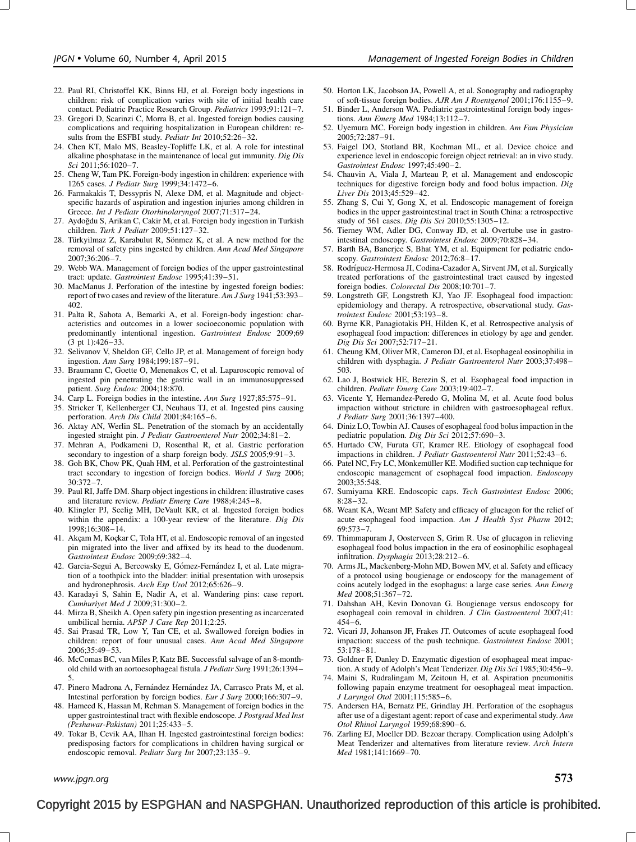- <span id="page-11-0"></span>22. Paul RI, Christoffel KK, Binns HJ, et al. Foreign body ingestions in children: risk of complication varies with site of initial health care contact. Pediatric Practice Research Group. Pediatrics 1993;91:121–7.
- 23. Gregori D, Scarinzi C, Morra B, et al. Ingested foreign bodies causing complications and requiring hospitalization in European children: results from the ESFBI study. Pediatr Int 2010;52:26–32.
- 24. Chen KT, Malo MS, Beasley-Topliffe LK, et al. A role for intestinal alkaline phosphatase in the maintenance of local gut immunity. Dig Dis Sci 2011:56:1020-7.
- 25. Cheng W, Tam PK. Foreign-body ingestion in children: experience with 1265 cases. J Pediatr Surg 1999;34:1472–6.
- 26. Farmakakis T, Dessypris N, Alexe DM, et al. Magnitude and objectspecific hazards of aspiration and ingestion injuries among children in Greece. Int J Pediatr Otorhinolaryngol 2007;71:317–24.
- 27. Aydoğdu S, Arikan C, Cakir M, et al. Foreign body ingestion in Turkish children. Turk J Pediatr 2009;51:127–32.
- 28. Türkyilmaz Z, Karabulut R, Sönmez K, et al. A new method for the removal of safety pins ingested by children. Ann Acad Med Singapore 2007;36:206–7.
- 29. Webb WA. Management of foreign bodies of the upper gastrointestinal tract: update. Gastrointest Endosc 1995;41:39–51.
- 30. MacManus J. Perforation of the intestine by ingested foreign bodies: report of two cases and review of the literature. Am J Surg 1941;53:393– 402.
- 31. Palta R, Sahota A, Bemarki A, et al. Foreign-body ingestion: characteristics and outcomes in a lower socioeconomic population with predominantly intentional ingestion. Gastrointest Endosc 2009;69 (3 pt 1):426–33.
- 32. Selivanov V, Sheldon GF, Cello JP, et al. Management of foreign body ingestion. Ann Surg 1984;199:187–91.
- 33. Braumann C, Goette O, Menenakos C, et al. Laparoscopic removal of ingested pin penetrating the gastric wall in an immunosuppressed patient. Surg Endosc 2004;18:870.
- 34. Carp L. Foreign bodies in the intestine. Ann Surg 1927;85:575–91.
- 35. Stricker T, Kellenberger CJ, Neuhaus TJ, et al. Ingested pins causing perforation. Arch Dis Child 2001;84:165–6.
- 36. Aktay AN, Werlin SL. Penetration of the stomach by an accidentally ingested straight pin. J Pediatr Gastroenterol Nutr 2002;34:81–2.
- 37. Mehran A, Podkameni D, Rosenthal R, et al. Gastric perforation secondary to ingestion of a sharp foreign body. *JSLS* 2005;9:91-3.
- 38. Goh BK, Chow PK, Quah HM, et al. Perforation of the gastrointestinal tract secondary to ingestion of foreign bodies. World J Surg 2006; 30:372–7.
- 39. Paul RI, Jaffe DM. Sharp object ingestions in children: illustrative cases and literature review. Pediatr Emerg Care 1988;4:245–8.
- 40. Klingler PJ, Seelig MH, DeVault KR, et al. Ingested foreign bodies within the appendix: a 100-year review of the literature. Dig Dis 1998;16:308–14.
- 41. Akçam M, Koçkar C, Tola HT, et al. Endoscopic removal of an ingested pin migrated into the liver and affixed by its head to the duodenum. Gastrointest Endosc 2009;69:382–4.
- 42. Garcia-Segui A, Bercowsky E, Gómez-Fernández I, et al. Late migration of a toothpick into the bladder: initial presentation with urosepsis and hydronephrosis. Arch Esp Urol 2012;65:626-9.
- 43. Karadayi S, Sahin E, Nadir A, et al. Wandering pins: case report. Cumhuriyet Med J 2009;31:300–2.
- 44. Mirza B, Sheikh A. Open safety pin ingestion presenting as incarcerated umbilical hernia. APSP J Case Rep 2011;2:25.
- 45. Sai Prasad TR, Low Y, Tan CE, et al. Swallowed foreign bodies in children: report of four unusual cases. Ann Acad Med Singapore 2006;35:49–53.
- 46. McComas BC, van Miles P, Katz BE. Successful salvage of an 8-monthold child with an aortoesophageal fistula. J Pediatr Surg 1991;26:1394– 5.
- 47. Pinero Madrona A, Fernández Hernández JA, Carrasco Prats M, et al. Intestinal perforation by foreign bodies. Eur J Surg 2000;166:307–9.
- 48. Hameed K, Hassan M, Rehman S. Management of foreign bodies in the upper gastrointestinal tract with flexible endoscope. J Postgrad Med Inst (Peshawar-Pakistan) 2011;25:433–5.
- 49. Tokar B, Cevik AA, Ilhan H. Ingested gastrointestinal foreign bodies: predisposing factors for complications in children having surgical or endoscopic removal. Pediatr Surg Int 2007;23:135–9.

www.jpgn.org  $573$ 

- 50. Horton LK, Jacobson JA, Powell A, et al. Sonography and radiography of soft-tissue foreign bodies. AJR Am J Roentgenol 2001;176:1155–9.
- 51. Binder L, Anderson WA. Pediatric gastrointestinal foreign body ingestions. Ann Emerg Med 1984;13:112–7.
- 52. Uyemura MC. Foreign body ingestion in children. Am Fam Physician 2005;72:287–91.
- 53. Faigel DO, Stotland BR, Kochman ML, et al. Device choice and experience level in endoscopic foreign object retrieval: an in vivo study. Gastrointest Endosc 1997;45:490–2.
- 54. Chauvin A, Viala J, Marteau P, et al. Management and endoscopic techniques for digestive foreign body and food bolus impaction. Dig Liver Dis 2013;45:529–42.
- 55. Zhang S, Cui Y, Gong X, et al. Endoscopic management of foreign bodies in the upper gastrointestinal tract in South China: a retrospective study of 561 cases. Dig Dis Sci 2010;55:1305–12.
- 56. Tierney WM, Adler DG, Conway JD, et al. Overtube use in gastrointestinal endoscopy. Gastrointest Endosc 2009;70:828–34.
- 57. Barth BA, Banerjee S, Bhat YM, et al. Equipment for pediatric endoscopy. Gastrointest Endosc 2012;76:8–17.
- 58. Rodríguez-Hermosa JI, Codina-Cazador A, Sirvent JM, et al. Surgically treated perforations of the gastrointestinal tract caused by ingested foreign bodies. Colorectal Dis 2008;10:701–7.
- 59. Longstreth GF, Longstreth KJ, Yao JF. Esophageal food impaction: epidemiology and therapy. A retrospective, observational study. Gastrointest Endosc 2001;53:193–8.
- 60. Byrne KR, Panagiotakis PH, Hilden K, et al. Retrospective analysis of esophageal food impaction: differences in etiology by age and gender. Dig Dis Sci 2007;52:717–21.
- 61. Cheung KM, Oliver MR, Cameron DJ, et al. Esophageal eosinophilia in children with dysphagia. J Pediatr Gastroenterol Nutr 2003;37:498– 503.
- 62. Lao J, Bostwick HE, Berezin S, et al. Esophageal food impaction in children. Pediatr Emerg Care 2003;19:402-7.
- 63. Vicente Y, Hernandez-Peredo G, Molina M, et al. Acute food bolus impaction without stricture in children with gastroesophageal reflux. J Pediatr Surg 2001;36:1397–400.
- 64. Diniz LO, Towbin AJ. Causes of esophageal food bolus impaction in the pediatric population. Dig Dis Sci 2012;57:690–3.
- 65. Hurtado CW, Furuta GT, Kramer RE. Etiology of esophageal food impactions in children. J Pediatr Gastroenterol Nutr 2011;52:43–6.
- 66. Patel NC, Fry LC, Mönkemüller KE. Modified suction cap technique for endoscopic management of esophageal food impaction. Endoscopy 2003;35:548.
- 67. Sumiyama KRE. Endoscopic caps. Tech Gastrointest Endosc 2006; 8:28–32.
- 68. Weant KA, Weant MP. Safety and efficacy of glucagon for the relief of acute esophageal food impaction. Am J Health Syst Pharm 2012; 69:573–7.
- 69. Thimmapuram J, Oosterveen S, Grim R. Use of glucagon in relieving esophageal food bolus impaction in the era of eosinophilic esophageal infiltration. Dysphagia 2013;28:212–6.
- 70. Arms JL, Mackenberg-Mohn MD, Bowen MV, et al. Safety and efficacy of a protocol using bougienage or endoscopy for the management of coins acutely lodged in the esophagus: a large case series. Ann Emerg Med 2008;51:367–72.
- 71. Dahshan AH, Kevin Donovan G. Bougienage versus endoscopy for esophageal coin removal in children. J Clin Gastroenterol 2007;41: 454–6.
- 72. Vicari JJ, Johanson JF, Frakes JT. Outcomes of acute esophageal food impaction: success of the push technique. Gastrointest Endosc 2001; 53:178–81.
- 73. Goldner F, Danley D. Enzymatic digestion of esophageal meat impaction. A study of Adolph's Meat Tenderizer. Dig Dis Sci 1985;30:456-9.
- 74. Maini S, Rudralingam M, Zeitoun H, et al. Aspiration pneumonitis following papain enzyme treatment for oesophageal meat impaction. J Laryngol Otol 2001;115:585–6.
- 75. Andersen HA, Bernatz PE, Grindlay JH. Perforation of the esophagus after use of a digestant agent: report of case and experimental study. Ann Otol Rhinol Laryngol 1959;68:890–6.
- 76. Zarling EJ, Moeller DD. Bezoar therapy. Complication using Adolph's Meat Tenderizer and alternatives from literature review. Arch Intern Med 1981;141:1669–70.